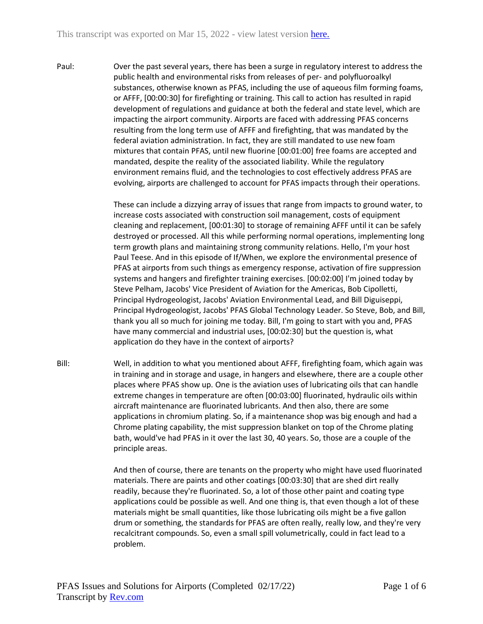Paul: Over the past several years, there has been a surge in regulatory interest to address the public health and environmental risks from releases of per- and polyfluoroalkyl substances, otherwise known as PFAS, including the use of aqueous film forming foams, or AFFF, [00:00:30] for firefighting or training. This call to action has resulted in rapid development of regulations and guidance at both the federal and state level, which are impacting the airport community. Airports are faced with addressing PFAS concerns resulting from the long term use of AFFF and firefighting, that was mandated by the federal aviation administration. In fact, they are still mandated to use new foam mixtures that contain PFAS, until new fluorine [00:01:00] free foams are accepted and mandated, despite the reality of the associated liability. While the regulatory environment remains fluid, and the technologies to cost effectively address PFAS are evolving, airports are challenged to account for PFAS impacts through their operations.

> These can include a dizzying array of issues that range from impacts to ground water, to increase costs associated with construction soil management, costs of equipment cleaning and replacement, [00:01:30] to storage of remaining AFFF until it can be safely destroyed or processed. All this while performing normal operations, implementing long term growth plans and maintaining strong community relations. Hello, I'm your host Paul Teese. And in this episode of If/When, we explore the environmental presence of PFAS at airports from such things as emergency response, activation of fire suppression systems and hangers and firefighter training exercises. [00:02:00] I'm joined today by Steve Pelham, Jacobs' Vice President of Aviation for the Americas, Bob Cipolletti, Principal Hydrogeologist, Jacobs' Aviation Environmental Lead, and Bill Diguiseppi, Principal Hydrogeologist, Jacobs' PFAS Global Technology Leader. So Steve, Bob, and Bill, thank you all so much for joining me today. Bill, I'm going to start with you and, PFAS have many commercial and industrial uses, [00:02:30] but the question is, what application do they have in the context of airports?

Bill: Well, in addition to what you mentioned about AFFF, firefighting foam, which again was in training and in storage and usage, in hangers and elsewhere, there are a couple other places where PFAS show up. One is the aviation uses of lubricating oils that can handle extreme changes in temperature are often [00:03:00] fluorinated, hydraulic oils within aircraft maintenance are fluorinated lubricants. And then also, there are some applications in chromium plating. So, if a maintenance shop was big enough and had a Chrome plating capability, the mist suppression blanket on top of the Chrome plating bath, would've had PFAS in it over the last 30, 40 years. So, those are a couple of the principle areas.

> And then of course, there are tenants on the property who might have used fluorinated materials. There are paints and other coatings [00:03:30] that are shed dirt really readily, because they're fluorinated. So, a lot of those other paint and coating type applications could be possible as well. And one thing is, that even though a lot of these materials might be small quantities, like those lubricating oils might be a five gallon drum or something, the standards for PFAS are often really, really low, and they're very recalcitrant compounds. So, even a small spill volumetrically, could in fact lead to a problem.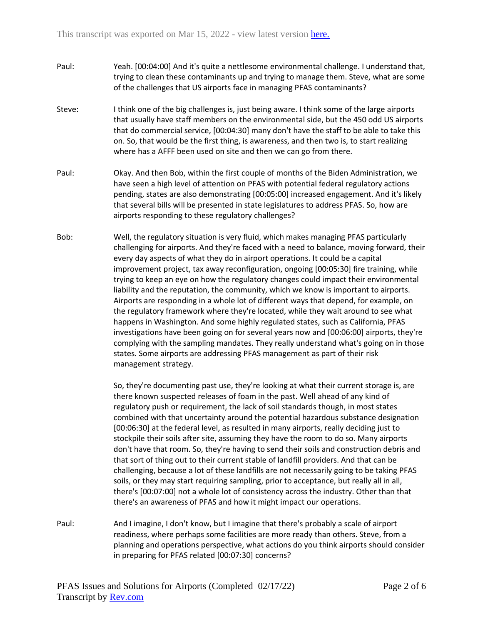- Paul: Yeah. [00:04:00] And it's quite a nettlesome environmental challenge. I understand that, trying to clean these contaminants up and trying to manage them. Steve, what are some of the challenges that US airports face in managing PFAS contaminants?
- Steve: I think one of the big challenges is, just being aware. I think some of the large airports that usually have staff members on the environmental side, but the 450 odd US airports that do commercial service, [00:04:30] many don't have the staff to be able to take this on. So, that would be the first thing, is awareness, and then two is, to start realizing where has a AFFF been used on site and then we can go from there.
- Paul: Okay. And then Bob, within the first couple of months of the Biden Administration, we have seen a high level of attention on PFAS with potential federal regulatory actions pending, states are also demonstrating [00:05:00] increased engagement. And it's likely that several bills will be presented in state legislatures to address PFAS. So, how are airports responding to these regulatory challenges?
- Bob: Well, the regulatory situation is very fluid, which makes managing PFAS particularly challenging for airports. And they're faced with a need to balance, moving forward, their every day aspects of what they do in airport operations. It could be a capital improvement project, tax away reconfiguration, ongoing [00:05:30] fire training, while trying to keep an eye on how the regulatory changes could impact their environmental liability and the reputation, the community, which we know is important to airports. Airports are responding in a whole lot of different ways that depend, for example, on the regulatory framework where they're located, while they wait around to see what happens in Washington. And some highly regulated states, such as California, PFAS investigations have been going on for several years now and [00:06:00] airports, they're complying with the sampling mandates. They really understand what's going on in those states. Some airports are addressing PFAS management as part of their risk management strategy.

So, they're documenting past use, they're looking at what their current storage is, are there known suspected releases of foam in the past. Well ahead of any kind of regulatory push or requirement, the lack of soil standards though, in most states combined with that uncertainty around the potential hazardous substance designation [00:06:30] at the federal level, as resulted in many airports, really deciding just to stockpile their soils after site, assuming they have the room to do so. Many airports don't have that room. So, they're having to send their soils and construction debris and that sort of thing out to their current stable of landfill providers. And that can be challenging, because a lot of these landfills are not necessarily going to be taking PFAS soils, or they may start requiring sampling, prior to acceptance, but really all in all, there's [00:07:00] not a whole lot of consistency across the industry. Other than that there's an awareness of PFAS and how it might impact our operations.

Paul: And I imagine, I don't know, but I imagine that there's probably a scale of airport readiness, where perhaps some facilities are more ready than others. Steve, from a planning and operations perspective, what actions do you think airports should consider in preparing for PFAS related [00:07:30] concerns?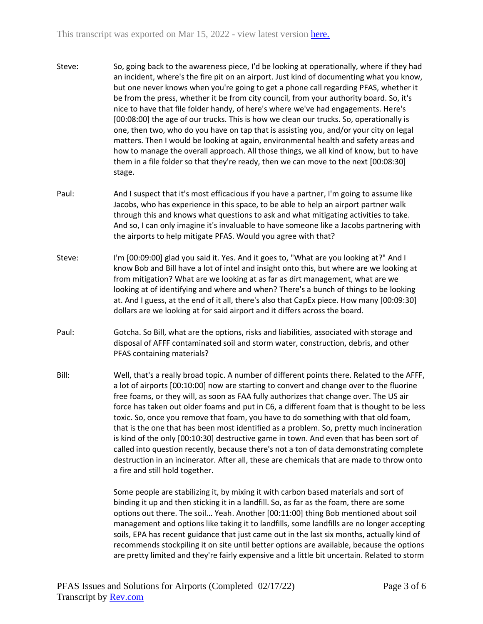- Steve: So, going back to the awareness piece, I'd be looking at operationally, where if they had an incident, where's the fire pit on an airport. Just kind of documenting what you know, but one never knows when you're going to get a phone call regarding PFAS, whether it be from the press, whether it be from city council, from your authority board. So, it's nice to have that file folder handy, of here's where we've had engagements. Here's [00:08:00] the age of our trucks. This is how we clean our trucks. So, operationally is one, then two, who do you have on tap that is assisting you, and/or your city on legal matters. Then I would be looking at again, environmental health and safety areas and how to manage the overall approach. All those things, we all kind of know, but to have them in a file folder so that they're ready, then we can move to the next [00:08:30] stage.
- Paul: And I suspect that it's most efficacious if you have a partner, I'm going to assume like Jacobs, who has experience in this space, to be able to help an airport partner walk through this and knows what questions to ask and what mitigating activities to take. And so, I can only imagine it's invaluable to have someone like a Jacobs partnering with the airports to help mitigate PFAS. Would you agree with that?
- Steve: I'm [00:09:00] glad you said it. Yes. And it goes to, "What are you looking at?" And I know Bob and Bill have a lot of intel and insight onto this, but where are we looking at from mitigation? What are we looking at as far as dirt management, what are we looking at of identifying and where and when? There's a bunch of things to be looking at. And I guess, at the end of it all, there's also that CapEx piece. How many [00:09:30] dollars are we looking at for said airport and it differs across the board.
- Paul: Gotcha. So Bill, what are the options, risks and liabilities, associated with storage and disposal of AFFF contaminated soil and storm water, construction, debris, and other PFAS containing materials?
- Bill: Well, that's a really broad topic. A number of different points there. Related to the AFFF, a lot of airports [00:10:00] now are starting to convert and change over to the fluorine free foams, or they will, as soon as FAA fully authorizes that change over. The US air force has taken out older foams and put in C6, a different foam that is thought to be less toxic. So, once you remove that foam, you have to do something with that old foam, that is the one that has been most identified as a problem. So, pretty much incineration is kind of the only [00:10:30] destructive game in town. And even that has been sort of called into question recently, because there's not a ton of data demonstrating complete destruction in an incinerator. After all, these are chemicals that are made to throw onto a fire and still hold together.

Some people are stabilizing it, by mixing it with carbon based materials and sort of binding it up and then sticking it in a landfill. So, as far as the foam, there are some options out there. The soil... Yeah. Another [00:11:00] thing Bob mentioned about soil management and options like taking it to landfills, some landfills are no longer accepting soils, EPA has recent guidance that just came out in the last six months, actually kind of recommends stockpiling it on site until better options are available, because the options are pretty limited and they're fairly expensive and a little bit uncertain. Related to storm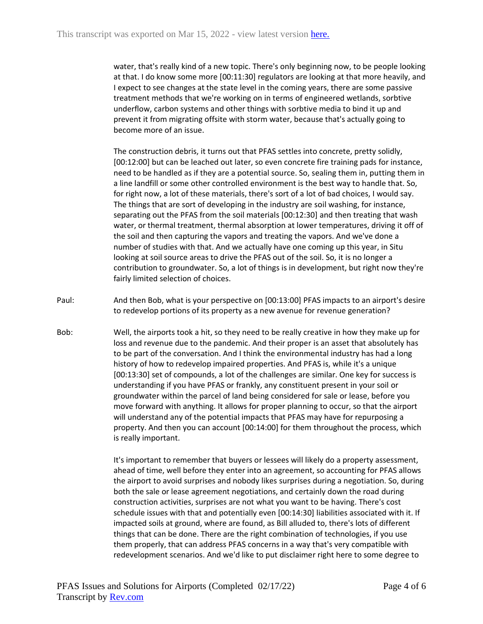water, that's really kind of a new topic. There's only beginning now, to be people looking at that. I do know some more [00:11:30] regulators are looking at that more heavily, and I expect to see changes at the state level in the coming years, there are some passive treatment methods that we're working on in terms of engineered wetlands, sorbtive underflow, carbon systems and other things with sorbtive media to bind it up and prevent it from migrating offsite with storm water, because that's actually going to become more of an issue.

The construction debris, it turns out that PFAS settles into concrete, pretty solidly, [00:12:00] but can be leached out later, so even concrete fire training pads for instance, need to be handled as if they are a potential source. So, sealing them in, putting them in a line landfill or some other controlled environment is the best way to handle that. So, for right now, a lot of these materials, there's sort of a lot of bad choices, I would say. The things that are sort of developing in the industry are soil washing, for instance, separating out the PFAS from the soil materials [00:12:30] and then treating that wash water, or thermal treatment, thermal absorption at lower temperatures, driving it off of the soil and then capturing the vapors and treating the vapors. And we've done a number of studies with that. And we actually have one coming up this year, in Situ looking at soil source areas to drive the PFAS out of the soil. So, it is no longer a contribution to groundwater. So, a lot of things is in development, but right now they're fairly limited selection of choices.

- Paul: And then Bob, what is your perspective on [00:13:00] PFAS impacts to an airport's desire to redevelop portions of its property as a new avenue for revenue generation?
- Bob: Well, the airports took a hit, so they need to be really creative in how they make up for loss and revenue due to the pandemic. And their proper is an asset that absolutely has to be part of the conversation. And I think the environmental industry has had a long history of how to redevelop impaired properties. And PFAS is, while it's a unique [00:13:30] set of compounds, a lot of the challenges are similar. One key for success is understanding if you have PFAS or frankly, any constituent present in your soil or groundwater within the parcel of land being considered for sale or lease, before you move forward with anything. It allows for proper planning to occur, so that the airport will understand any of the potential impacts that PFAS may have for repurposing a property. And then you can account [00:14:00] for them throughout the process, which is really important.

It's important to remember that buyers or lessees will likely do a property assessment, ahead of time, well before they enter into an agreement, so accounting for PFAS allows the airport to avoid surprises and nobody likes surprises during a negotiation. So, during both the sale or lease agreement negotiations, and certainly down the road during construction activities, surprises are not what you want to be having. There's cost schedule issues with that and potentially even [00:14:30] liabilities associated with it. If impacted soils at ground, where are found, as Bill alluded to, there's lots of different things that can be done. There are the right combination of technologies, if you use them properly, that can address PFAS concerns in a way that's very compatible with redevelopment scenarios. And we'd like to put disclaimer right here to some degree to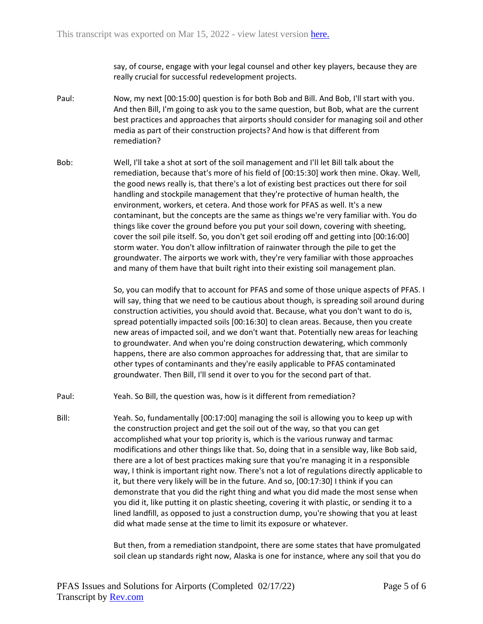say, of course, engage with your legal counsel and other key players, because they are really crucial for successful redevelopment projects.

- Paul: Now, my next [00:15:00] question is for both Bob and Bill. And Bob, I'll start with you. And then Bill, I'm going to ask you to the same question, but Bob, what are the current best practices and approaches that airports should consider for managing soil and other media as part of their construction projects? And how is that different from remediation?
- Bob: Well, I'll take a shot at sort of the soil management and I'll let Bill talk about the remediation, because that's more of his field of [00:15:30] work then mine. Okay. Well, the good news really is, that there's a lot of existing best practices out there for soil handling and stockpile management that they're protective of human health, the environment, workers, et cetera. And those work for PFAS as well. It's a new contaminant, but the concepts are the same as things we're very familiar with. You do things like cover the ground before you put your soil down, covering with sheeting, cover the soil pile itself. So, you don't get soil eroding off and getting into [00:16:00] storm water. You don't allow infiltration of rainwater through the pile to get the groundwater. The airports we work with, they're very familiar with those approaches and many of them have that built right into their existing soil management plan.

So, you can modify that to account for PFAS and some of those unique aspects of PFAS. I will say, thing that we need to be cautious about though, is spreading soil around during construction activities, you should avoid that. Because, what you don't want to do is, spread potentially impacted soils [00:16:30] to clean areas. Because, then you create new areas of impacted soil, and we don't want that. Potentially new areas for leaching to groundwater. And when you're doing construction dewatering, which commonly happens, there are also common approaches for addressing that, that are similar to other types of contaminants and they're easily applicable to PFAS contaminated groundwater. Then Bill, I'll send it over to you for the second part of that.

- Paul: Yeah. So Bill, the question was, how is it different from remediation?
- Bill: Yeah. So, fundamentally [00:17:00] managing the soil is allowing you to keep up with the construction project and get the soil out of the way, so that you can get accomplished what your top priority is, which is the various runway and tarmac modifications and other things like that. So, doing that in a sensible way, like Bob said, there are a lot of best practices making sure that you're managing it in a responsible way, I think is important right now. There's not a lot of regulations directly applicable to it, but there very likely will be in the future. And so, [00:17:30] I think if you can demonstrate that you did the right thing and what you did made the most sense when you did it, like putting it on plastic sheeting, covering it with plastic, or sending it to a lined landfill, as opposed to just a construction dump, you're showing that you at least did what made sense at the time to limit its exposure or whatever.

But then, from a remediation standpoint, there are some states that have promulgated soil clean up standards right now, Alaska is one for instance, where any soil that you do